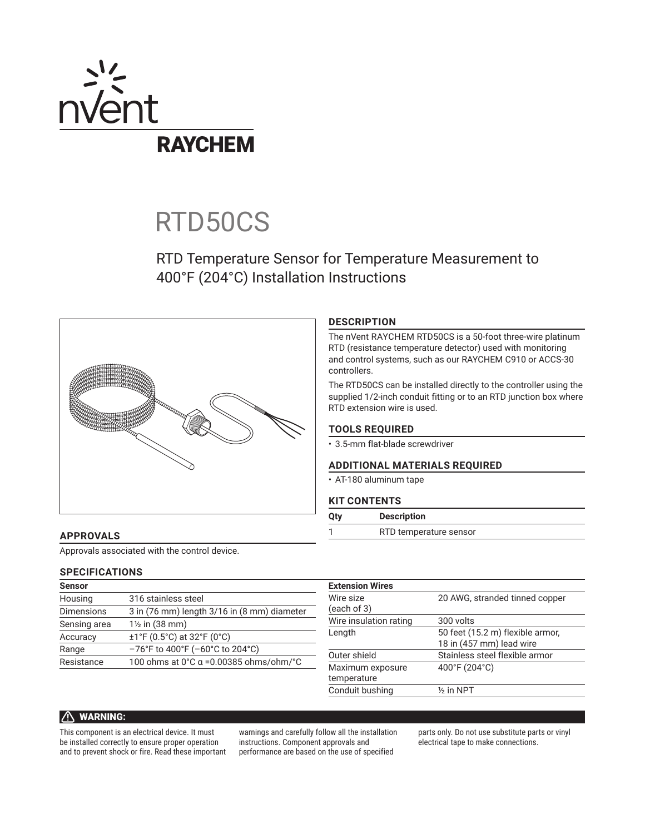

# RTD50CS

# RTD Temperature Sensor for Temperature Measurement to 400°F (204°C) Installation Instructions



# **DESCRIPTION**

The nVent RAYCHEM RTD50CS is a 50-foot three-wire platinum RTD (resistance temperature detector) used with monitoring and control systems, such as our RAYCHEM C910 or ACCS-30 controllers.

The RTD50CS can be installed directly to the controller using the supplied 1/2-inch conduit fitting or to an RTD junction box where RTD extension wire is used.

# **TOOLS REQUIRED**

• 3.5-mm flat-blade screwdriver

## **ADDITIONAL MATERIALS REQUIRED**

• AT-180 aluminum tape

#### **KIT CONTENTS**

| RTD temperature sensor |  |
|------------------------|--|

## **APPROVALS**

Approvals associated with the control device.

#### **SPECIFICATIONS**

| <b>Sensor</b>     |                                             |
|-------------------|---------------------------------------------|
| Housing           | 316 stainless steel                         |
| <b>Dimensions</b> | 3 in (76 mm) length 3/16 in (8 mm) diameter |
| Sensing area      | 1 <sup>1</sup> / <sub>2</sub> in (38 mm)    |
| Accuracy          | $±1$ °F (0.5°C) at 32°F (0°C)               |
| Range             | -76°F to 400°F (-60°C to 204°C)             |
| Resistance        | 100 ohms at 0°C α = 0.00385 ohms/ohm/°C     |
|                   |                                             |

| 20 AWG, stranded tinned copper   |
|----------------------------------|
|                                  |
| 300 volts                        |
| 50 feet (15.2 m) flexible armor, |
| 18 in (457 mm) lead wire         |
| Stainless steel flexible armor   |
| 400°F (204°C)                    |
|                                  |
| $\frac{1}{2}$ in NPT             |
|                                  |

# **A** WARNING:

This component is an electrical device. It must be installed correctly to ensure proper operation and to prevent shock or fire. Read these important

warnings and carefully follow all the installation instructions. Component approvals and performance are based on the use of specified

parts only. Do not use substitute parts or vinyl electrical tape to make connections.